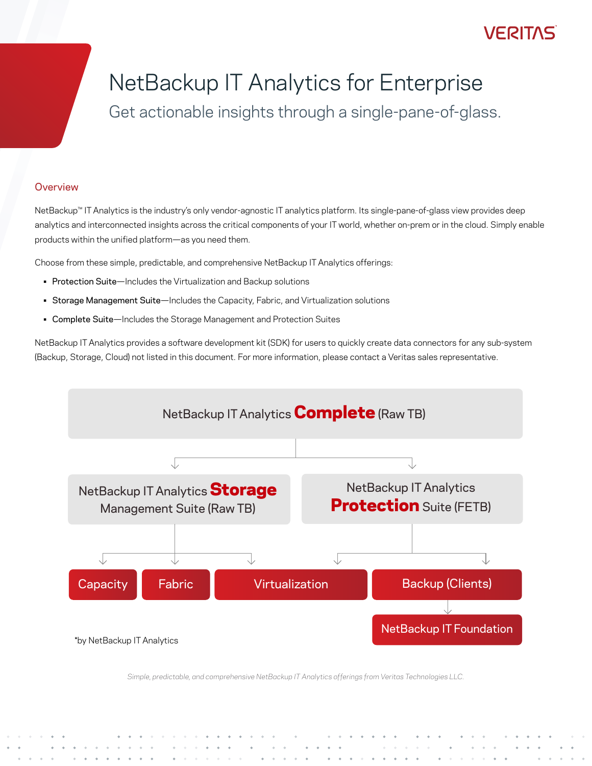### /FR11

# NetBackup IT Analytics for Enterprise

Get actionable insights through a single-pane-of-glass.

#### **Overview**

NetBackup™ IT Analytics is the industry's only vendor-agnostic IT analytics platform. Its single-pane-of-glass view provides deep analytics and interconnected insights across the critical components of your IT world, whether on-prem or in the cloud. Simply enable products within the unified platform—as you need them.

Choose from these simple, predictable, and comprehensive NetBackup IT Analytics offerings:

- Protection Suite—Includes the Virtualization and Backup solutions
- Storage Management Suite—Includes the Capacity, Fabric, and Virtualization solutions
- Complete Suite—Includes the Storage Management and Protection Suites

NetBackup IT Analytics provides a software development kit (SDK) for users to quickly create data connectors for any sub-system (Backup, Storage, Cloud) not listed in this document. For more information, please contact a Veritas sales representative.



*Simple, predictable, and comprehensive NetBackup IT Analytics offerings from Veritas Technologies LLC.*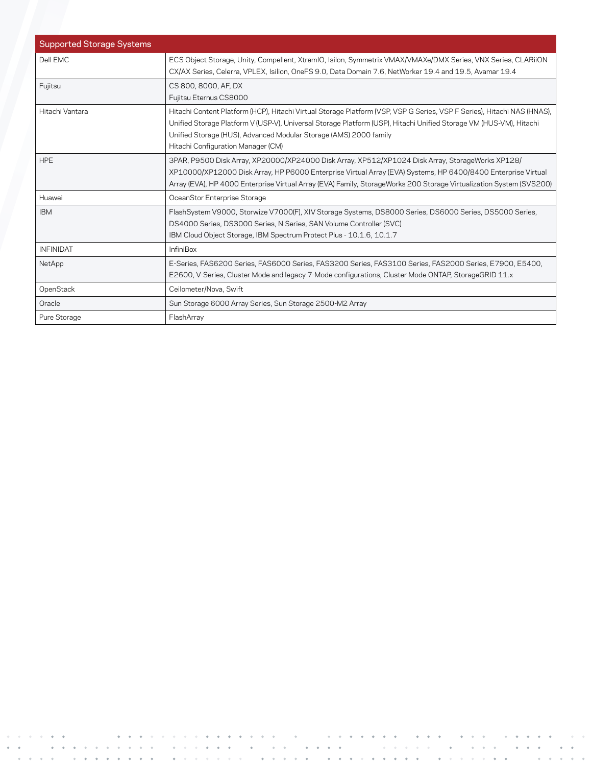| <b>Supported Storage Systems</b> |                                                                                                                                                                                                                                                                                                                                                          |
|----------------------------------|----------------------------------------------------------------------------------------------------------------------------------------------------------------------------------------------------------------------------------------------------------------------------------------------------------------------------------------------------------|
| Dell EMC                         | ECS Object Storage, Unity, Compellent, XtremIO, Isilon, Symmetrix VMAX/VMAXe/DMX Series, VNX Series, CLARiiON<br>CX/AX Series, Celerra, VPLEX, Isilion, OneFS 9.0, Data Domain 7.6, NetWorker 19.4 and 19.5, Avamar 19.4                                                                                                                                 |
| Fujitsu                          | CS 800, 8000, AF, DX<br>Fujitsu Eternus CS8000                                                                                                                                                                                                                                                                                                           |
| Hitachi Vantara                  | Hitachi Content Platform (HCP), Hitachi Virtual Storage Platform (VSP, VSP G Series, VSP F Series), Hitachi NAS (HNAS),<br>Unified Storage Platform V (USP-V), Universal Storage Platform (USP), Hitachi Unified Storage VM (HUS-VM), Hitachi<br>Unified Storage (HUS), Advanced Modular Storage (AMS) 2000 family<br>Hitachi Configuration Manager (CM) |
| <b>HPE</b>                       | 3PAR, P9500 Disk Array, XP20000/XP24000 Disk Array, XP512/XP1024 Disk Array, StorageWorks XP128/<br>XP10000/XP12000 Disk Array, HP P6000 Enterprise Virtual Array (EVA) Systems, HP 6400/8400 Enterprise Virtual<br>Array (EVA), HP 4000 Enterprise Virtual Array (EVA) Family, StorageWorks 200 Storage Virtualization System (SVS200)                  |
| Huawei                           | OceanStor Enterprise Storage                                                                                                                                                                                                                                                                                                                             |
| <b>IBM</b>                       | FlashSystem V9000, Storwize V7000(F), XIV Storage Systems, DS8000 Series, DS6000 Series, DS5000 Series,<br>DS4000 Series, DS3000 Series, N Series, SAN Volume Controller (SVC)<br>IBM Cloud Object Storage, IBM Spectrum Protect Plus - 10.1.6, 10.1.7                                                                                                   |
| <b>INFINIDAT</b>                 | <b>InfiniBox</b>                                                                                                                                                                                                                                                                                                                                         |
| NetApp                           | E-Series, FAS6200 Series, FAS6000 Series, FAS3200 Series, FAS3100 Series, FAS2000 Series, E7900, E5400,<br>E2600, V-Series, Cluster Mode and legacy 7-Mode configurations, Cluster Mode ONTAP, StorageGRID 11.x                                                                                                                                          |
| OpenStack                        | Ceilometer/Nova, Swift                                                                                                                                                                                                                                                                                                                                   |
| Oracle                           | Sun Storage 6000 Array Series, Sun Storage 2500-M2 Array                                                                                                                                                                                                                                                                                                 |
| Pure Storage                     | FlashArray                                                                                                                                                                                                                                                                                                                                               |

 $\mathcal{L}^{\text{max}}$  and  $\mathcal{L}^{\text{max}}$ 

 $\alpha$  ,  $\beta$  ,  $\alpha$  ,  $\alpha$ 

 $\alpha$ 

 $\alpha = \alpha$ 

 $\langle \Phi \rangle$ 

 $\sim$ 

 $\hat{\phi}$ 

 $\Phi^+$ 

 $\lambda$ 

 $\mathcal{L}$ 

 $\sim$ 

 $\bar{\phi}$ 

 $\frac{1}{2}$  ,  $\frac{1}{2}$ 

 $\hat{\mathbf{v}}$ 

 $\hat{\phi}$ 

 $\omega = \omega^2/\omega^2$ 

 $\hat{L}$  ,  $\hat{L}$ 

 $\bar{\psi}$  $\epsilon = \epsilon$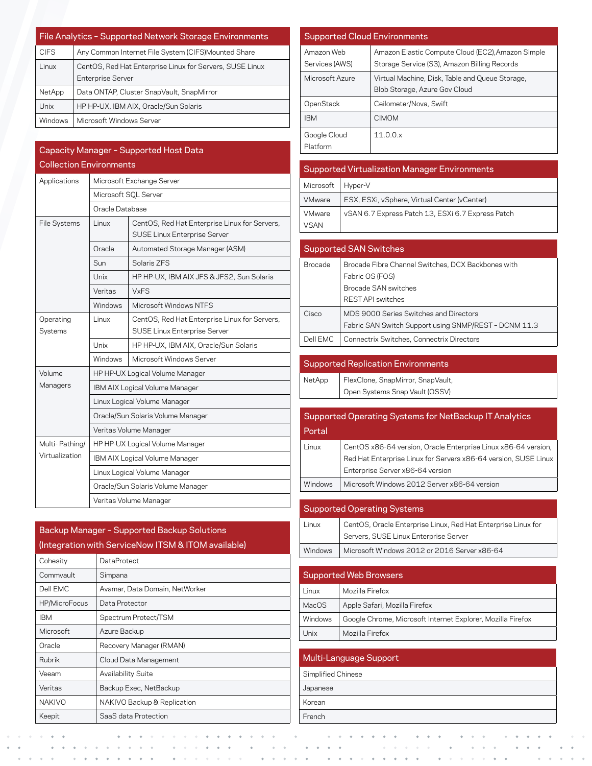| File Analytics - Supported Network Storage Environments |                                                          |  |
|---------------------------------------------------------|----------------------------------------------------------|--|
| <b>CIFS</b>                                             | Any Common Internet File System (CIFS)Mounted Share      |  |
| Linux                                                   | CentOS, Red Hat Enterprise Linux for Servers, SUSE Linux |  |
|                                                         | <b>Enterprise Server</b>                                 |  |
| NetApp                                                  | Data ONTAP, Cluster SnapVault, SnapMirror                |  |
| Unix                                                    | HP HP-UX, IBM AIX, Oracle/Sun Solaris                    |  |
| Windows                                                 | Microsoft Windows Server                                 |  |

|                                |                                   | Capacity Manager - Supported Host Data                                               |  |
|--------------------------------|-----------------------------------|--------------------------------------------------------------------------------------|--|
| <b>Collection Environments</b> |                                   |                                                                                      |  |
| Applications                   | Microsoft Exchange Server         |                                                                                      |  |
|                                | Microsoft SOL Server              |                                                                                      |  |
|                                | Oracle Database                   |                                                                                      |  |
| <b>File Systems</b>            | Linux                             | CentOS, Red Hat Enterprise Linux for Servers,<br><b>SUSE Linux Enterprise Server</b> |  |
|                                | Oracle                            | Automated Storage Manager (ASM)                                                      |  |
|                                | Sun                               | Solaris ZFS                                                                          |  |
|                                | Unix                              | HP HP-UX, IBM AIX JFS & JFS2, Sun Solaris                                            |  |
|                                | Veritas                           | <b>VxFS</b>                                                                          |  |
|                                | Windows                           | Microsoft Windows NTFS                                                               |  |
| Operating                      | Linux                             | CentOS, Red Hat Enterprise Linux for Servers,                                        |  |
| Systems                        |                                   | <b>SUSE Linux Enterprise Server</b>                                                  |  |
|                                | Unix                              | HP HP-UX, IBM AIX, Oracle/Sun Solaris                                                |  |
|                                | Windows                           | Microsoft Windows Server                                                             |  |
| Volume                         | HP HP-UX Logical Volume Manager   |                                                                                      |  |
| Managers                       | IBM AIX Logical Volume Manager    |                                                                                      |  |
|                                | Linux Logical Volume Manager      |                                                                                      |  |
|                                | Oracle/Sun Solaris Volume Manager |                                                                                      |  |
|                                | Veritas Volume Manager            |                                                                                      |  |
| Multi-Pathing/                 | HP HP-UX Logical Volume Manager   |                                                                                      |  |
| Virtualization                 | IBM AIX Logical Volume Manager    |                                                                                      |  |
|                                | Linux Logical Volume Manager      |                                                                                      |  |
|                                | Oracle/Sun Solaris Volume Manager |                                                                                      |  |
|                                |                                   | Veritas Volume Manager                                                               |  |

| Backup Manager - Supported Backup Solutions<br>(Integration with ServiceNow ITSM & ITOM available) |                                |  |
|----------------------------------------------------------------------------------------------------|--------------------------------|--|
| Cohesity                                                                                           | DataProtect                    |  |
| Commvault                                                                                          | Simpana                        |  |
| Dell EMC                                                                                           | Avamar, Data Domain, NetWorker |  |
| HP/MicroFocus                                                                                      | Data Protector                 |  |
| <b>IBM</b>                                                                                         | Spectrum Protect/TSM           |  |
| Microsoft                                                                                          | Azure Backup                   |  |
| Oracle                                                                                             | Recovery Manager (RMAN)        |  |
| Rubrik                                                                                             | Cloud Data Management          |  |
| Veeam                                                                                              | <b>Availability Suite</b>      |  |
| Veritas                                                                                            | Backup Exec, NetBackup         |  |
| <b>NAKIVO</b>                                                                                      | NAKIVO Backup & Replication    |  |
| Keepit                                                                                             | SaaS data Protection           |  |

| <b>Supported Cloud Environments</b> |                                                                                                   |  |
|-------------------------------------|---------------------------------------------------------------------------------------------------|--|
| Amazon Web<br>Services (AWS)        | Amazon Elastic Compute Cloud (EC2), Amazon Simple<br>Storage Service (S3), Amazon Billing Records |  |
| Microsoft Azure                     | Virtual Machine, Disk, Table and Queue Storage,<br>Blob Storage, Azure Gov Cloud                  |  |
| OpenStack                           | Ceilometer/Nova, Swift                                                                            |  |
| <b>IBM</b>                          | <b>CIMOM</b>                                                                                      |  |
| Google Cloud<br>Platform            | 11.0.0.x                                                                                          |  |

| <b>Supported Virtualization Manager Environments</b> |                                                   |  |
|------------------------------------------------------|---------------------------------------------------|--|
| Microsoft                                            | Hyper-V                                           |  |
| <b>VMware</b>                                        | ESX, ESXi, vSphere, Virtual Center (vCenter)      |  |
| <b>VMware</b>                                        | vSAN 6.7 Express Patch 13, ESXi 6.7 Express Patch |  |
| VSAN                                                 |                                                   |  |

| <b>Supported SAN Switches</b> |                                                       |  |
|-------------------------------|-------------------------------------------------------|--|
| <b>Brocade</b>                | Brocade Fibre Channel Switches, DCX Backbones with    |  |
|                               | Fabric OS (FOS)                                       |  |
|                               | Brocade SAN switches                                  |  |
|                               | <b>REST API switches</b>                              |  |
| Cisco                         | MDS 9000 Series Switches and Directors                |  |
|                               | Fabric SAN Switch Support using SNMP/REST - DCNM 11.3 |  |
| Dell EMC                      | Connectrix Switches, Connectrix Directors             |  |

|  |  | <b>Supported Replication Environments</b> |
|--|--|-------------------------------------------|
|--|--|-------------------------------------------|

| NetApp | FlexClone, SnapMirror, SnapVault, |  |
|--------|-----------------------------------|--|
|        | Open Systems Snap Vault (OSSV)    |  |

| Portal  | Supported Operating Systems for NetBackup IT Analytics          |
|---------|-----------------------------------------------------------------|
| Linux   | CentOS x86-64 version, Oracle Enterprise Linux x86-64 version,  |
|         | Red Hat Enterprise Linux for Servers x86-64 version, SUSE Linux |
|         | Enterprise Server x86-64 version                                |
| Windows | Microsoft Windows 2012 Server x86-64 version                    |

Supported Operating Systems Linux **CentOS, Oracle Enterprise Linux, Red Hat Enterprise Linux for** Servers, SUSE Linux Enterprise Server Windows | Microsoft Windows 2012 or 2016 Server x86-64 Supported Web Browsers Linux | Mozilla Firefox MacOS | Apple Safari, Mozilla Firefox

| <b>Windows</b>         | Google Chrome, Microsoft Internet Explorer, Mozilla Firefox |  |
|------------------------|-------------------------------------------------------------|--|
| Unix                   | Mozilla Firefox                                             |  |
|                        |                                                             |  |
| Multi-Language Support |                                                             |  |
| Simplified Chinese     |                                                             |  |
| Japanese               |                                                             |  |
| Korean                 |                                                             |  |

French